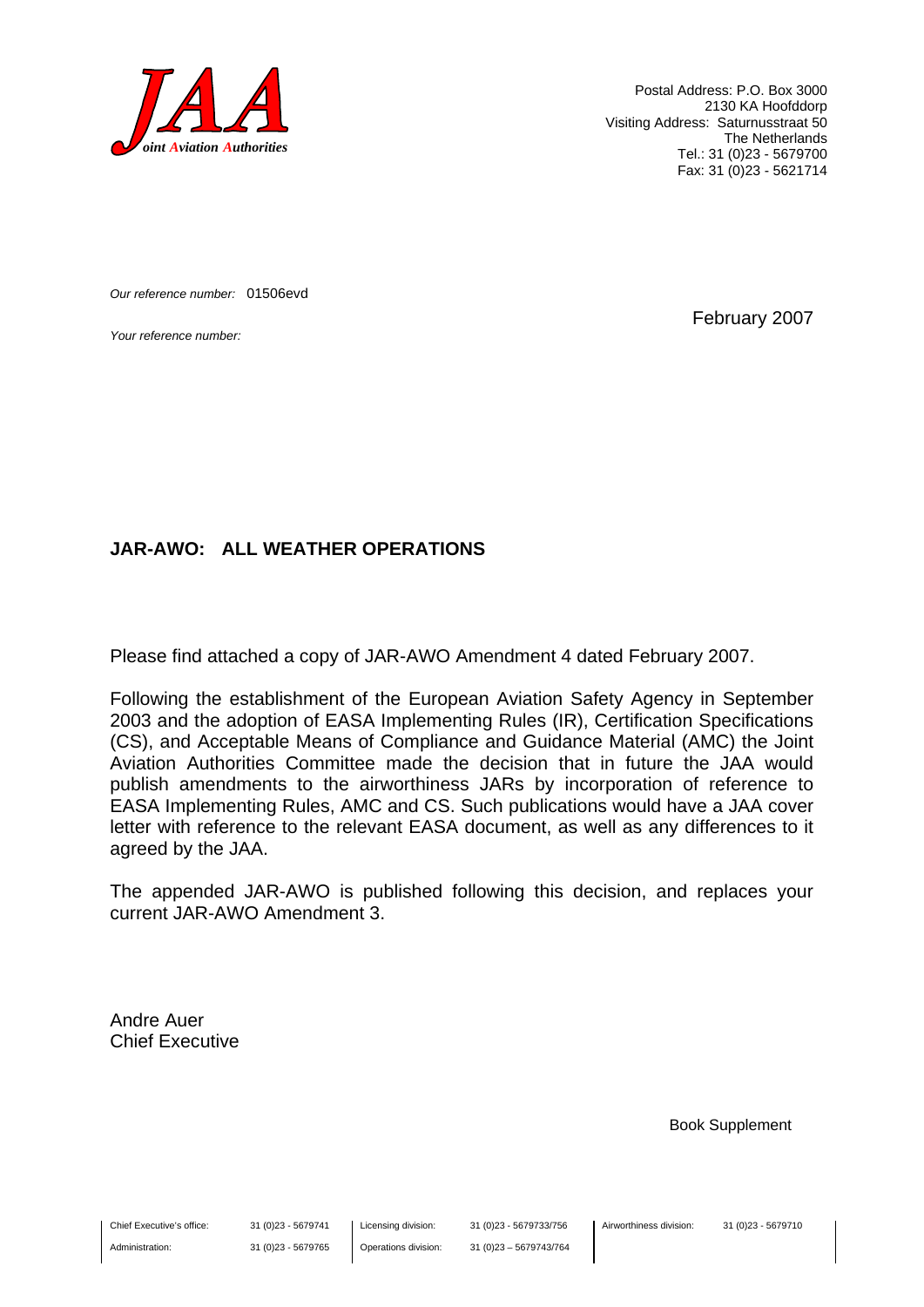

Postal Address: P.O. Box 3000 2130 KA Hoofddorp Visiting Address: Saturnusstraat 50 The Netherlands Tel.: 31 (0)23 - 5679700 Fax: 31 (0)23 - 5621714

*Our reference number:* 01506evd

*Your reference number:* February 2007

#### **JAR-AWO: ALL WEATHER OPERATIONS**

Please find attached a copy of JAR-AWO Amendment 4 dated February 2007.

Following the establishment of the European Aviation Safety Agency in September 2003 and the adoption of EASA Implementing Rules (IR), Certification Specifications (CS), and Acceptable Means of Compliance and Guidance Material (AMC) the Joint Aviation Authorities Committee made the decision that in future the JAA would publish amendments to the airworthiness JARs by incorporation of reference to EASA Implementing Rules, AMC and CS. Such publications would have a JAA cover letter with reference to the relevant EASA document, as well as any differences to it agreed by the JAA.

The appended JAR-AWO is published following this decision, and replaces your current JAR-AWO Amendment 3.

Andre Auer Chief Executive

Book Supplement

Chief Executive's office:

Administration:

31 (0)23 - 5679741 31 (0)23 - 5679765 Licensing division: Operations division: 31 (0)23 - 5679733/756 31 (0)23 – 5679743/764 Airworthiness division: 31 (0)23 - 5679710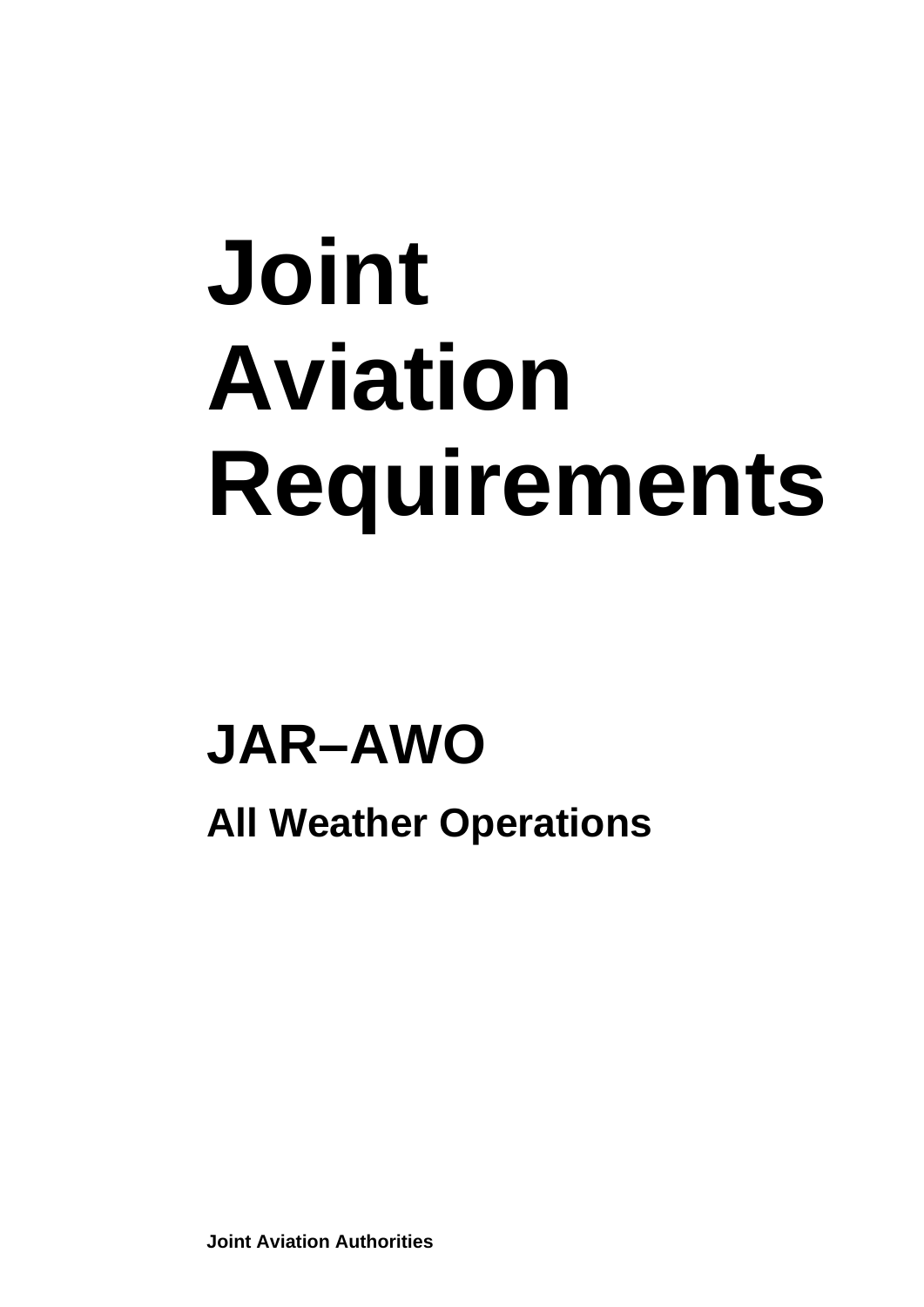# **Joint Aviation Requirements**

## **JAR–AWO**

**All Weather Operations** 

**Joint Aviation Authorities**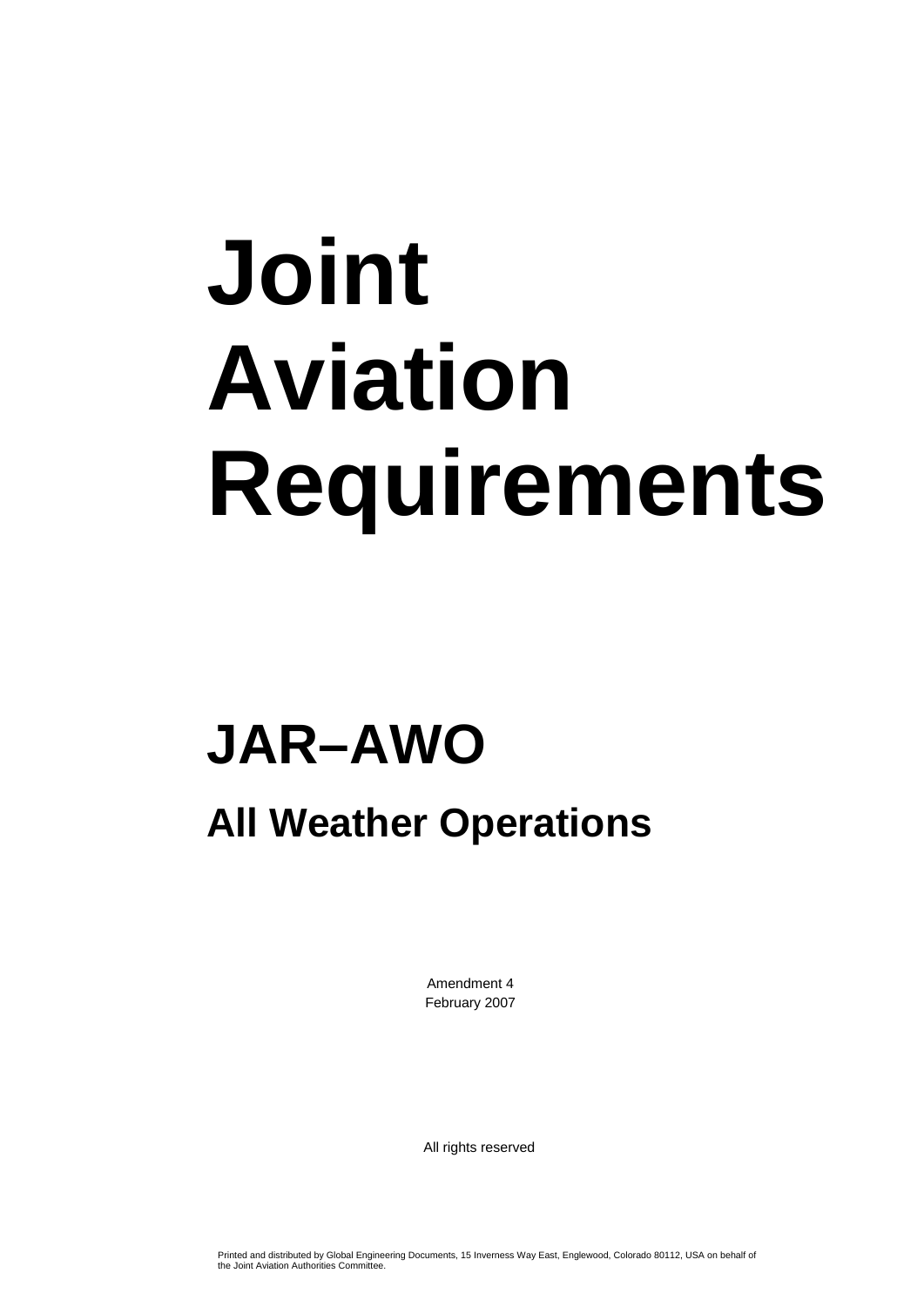# **Joint Aviation Requirements**

## **JAR–AWO**

### **All Weather Operations**

Amendment 4 February 2007

All rights reserved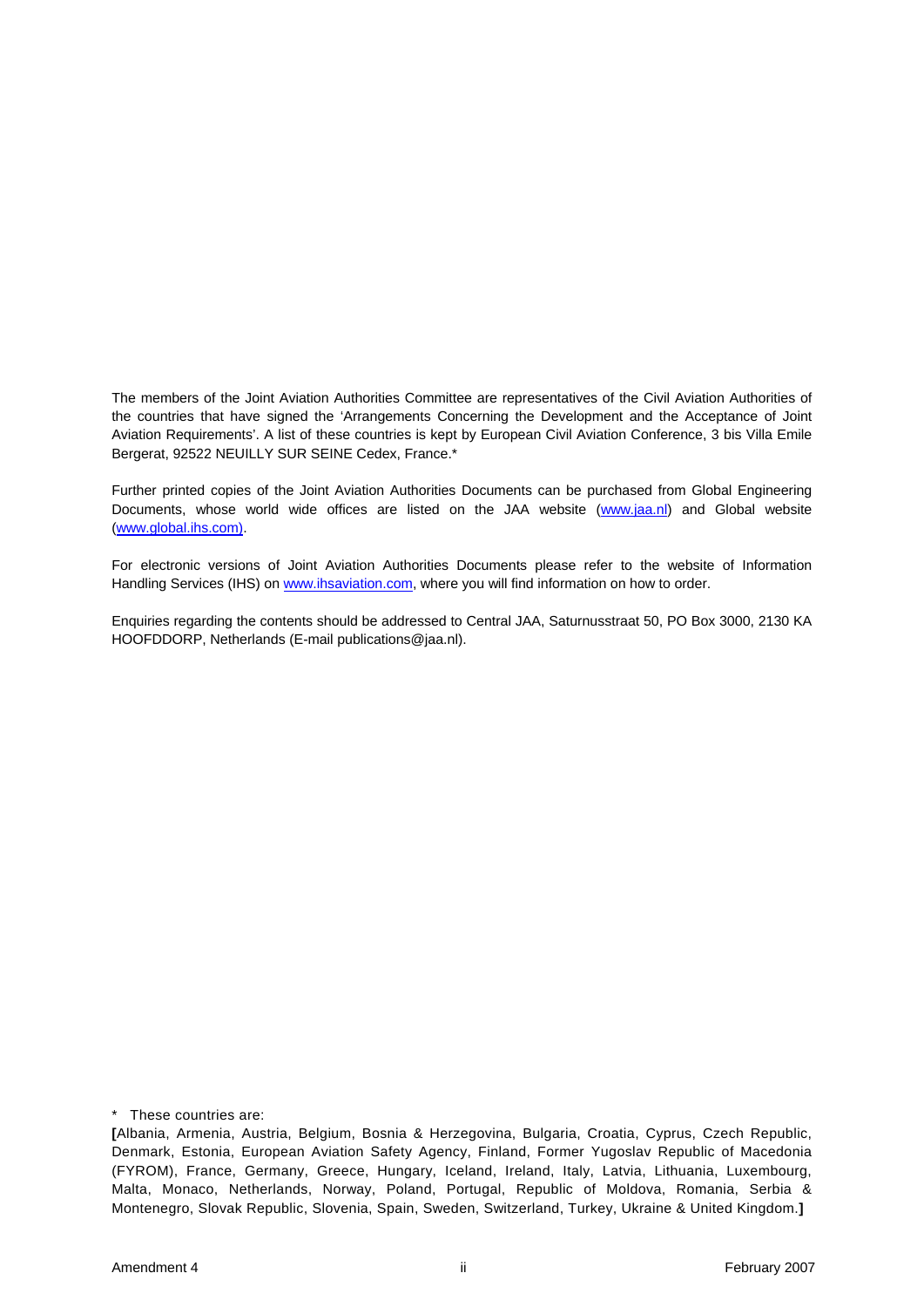The members of the Joint Aviation Authorities Committee are representatives of the Civil Aviation Authorities of the countries that have signed the 'Arrangements Concerning the Development and the Acceptance of Joint Aviation Requirements'. A list of these countries is kept by European Civil Aviation Conference, 3 bis Villa Emile Bergerat, 92522 NEUILLY SUR SEINE Cedex, France.\*

Further printed copies of the Joint Aviation Authorities Documents can be purchased from Global Engineering Documents, whose world wide offices are listed on the JAA website (www.jaa.nl) and Global website (www.global.ihs.com).

For electronic versions of Joint Aviation Authorities Documents please refer to the website of Information Handling Services (IHS) on www.ihsaviation.com, where you will find information on how to order.

Enquiries regarding the contents should be addressed to Central JAA, Saturnusstraat 50, PO Box 3000, 2130 KA HOOFDDORP, Netherlands (E-mail publications@jaa.nl).

\* These countries are:

**<sup>[</sup>**Albania, Armenia, Austria, Belgium, Bosnia & Herzegovina, Bulgaria, Croatia, Cyprus, Czech Republic, Denmark, Estonia, European Aviation Safety Agency, Finland, Former Yugoslav Republic of Macedonia (FYROM), France, Germany, Greece, Hungary, Iceland, Ireland, Italy, Latvia, Lithuania, Luxembourg, Malta, Monaco, Netherlands, Norway, Poland, Portugal, Republic of Moldova, Romania, Serbia & Montenegro, Slovak Republic, Slovenia, Spain, Sweden, Switzerland, Turkey, Ukraine & United Kingdom.**]**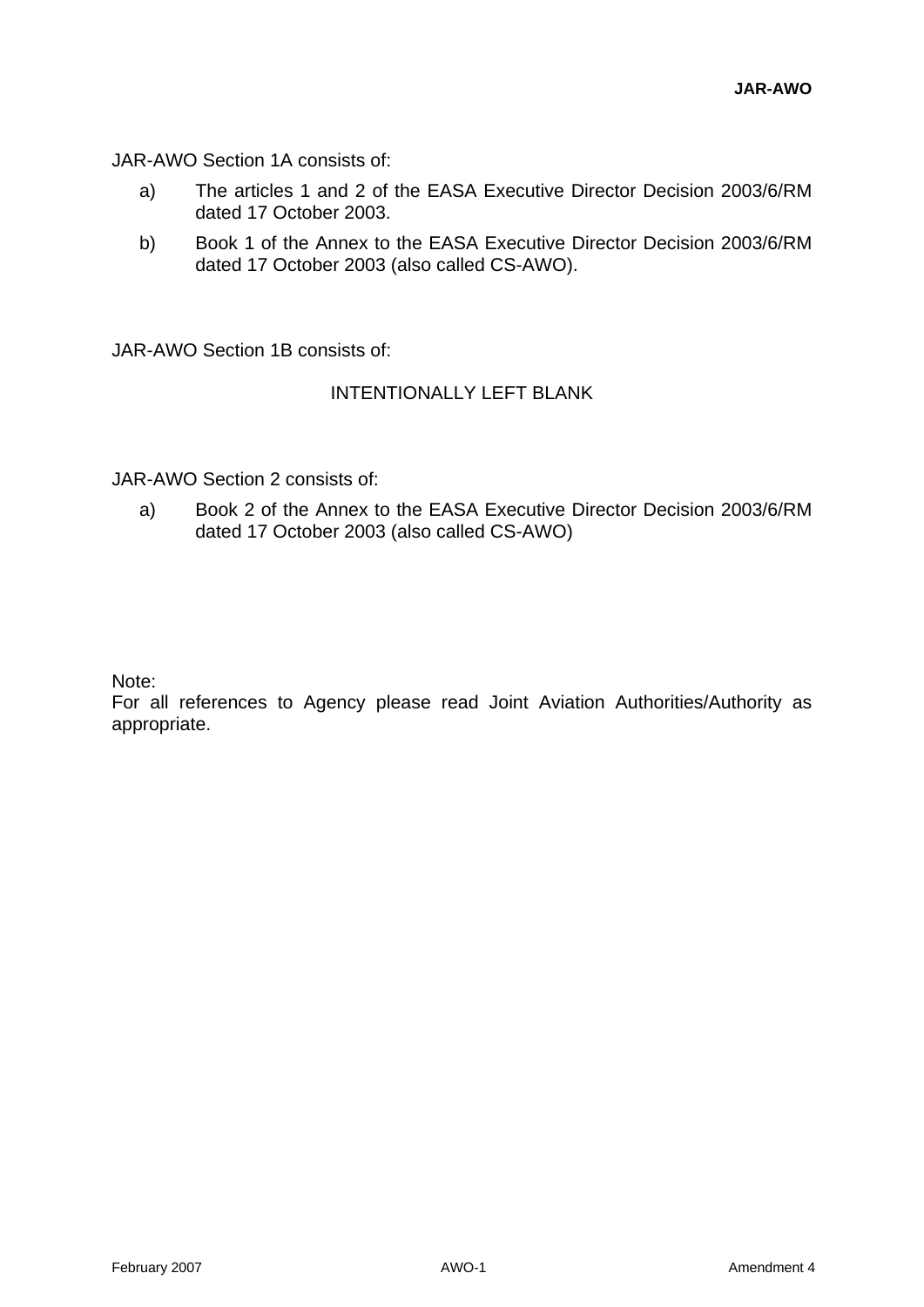JAR-AWO Section 1A consists of:

- a) The articles 1 and 2 of the EASA Executive Director Decision 2003/6/RM dated 17 October 2003.
- b) Book 1 of the Annex to the EASA Executive Director Decision 2003/6/RM dated 17 October 2003 (also called CS-AWO).

JAR-AWO Section 1B consists of:

#### INTENTIONALLY LEFT BLANK

JAR-AWO Section 2 consists of:

a) Book 2 of the Annex to the EASA Executive Director Decision 2003/6/RM dated 17 October 2003 (also called CS-AWO)

Note:

For all references to Agency please read Joint Aviation Authorities/Authority as appropriate.